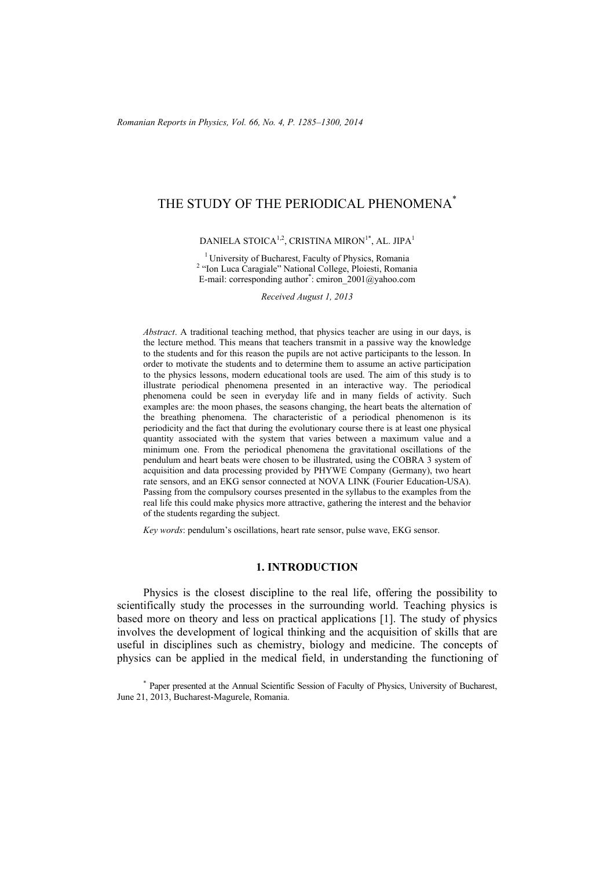# THE STUDY OF THE PERIODICAL PHENOMENA\*

DANIELA STOICA<sup>1,2</sup>, CRISTINA MIRON<sup>1\*</sup>, AL. JIPA<sup>1</sup>

<sup>1</sup> University of Bucharest, Faculty of Physics, Romania <sup>2</sup> "Ion Luca Caragiale" National College, Ploiesti, Romania E-mail: corresponding author<sup>\*</sup>: cmiron\_2001@yahoo.com

*Received August 1, 2013* 

*Abstract*. A traditional teaching method, that physics teacher are using in our days, is the lecture method. This means that teachers transmit in a passive way the knowledge to the students and for this reason the pupils are not active participants to the lesson. In order to motivate the students and to determine them to assume an active participation to the physics lessons, modern educational tools are used. The aim of this study is to illustrate periodical phenomena presented in an interactive way. The periodical phenomena could be seen in everyday life and in many fields of activity. Such examples are: the moon phases, the seasons changing, the heart beats the alternation of the breathing phenomena. The characteristic of a periodical phenomenon is its periodicity and the fact that during the evolutionary course there is at least one physical quantity associated with the system that varies between a maximum value and a minimum one. From the periodical phenomena the gravitational oscillations of the pendulum and heart beats were chosen to be illustrated, using the COBRA 3 system of acquisition and data processing provided by PHYWE Company (Germany), two heart rate sensors, and an EKG sensor connected at NOVA LINK (Fourier Education-USA). Passing from the compulsory courses presented in the syllabus to the examples from the real life this could make physics more attractive, gathering the interest and the behavior of the students regarding the subject.

*Key words*: pendulum's oscillations, heart rate sensor, pulse wave, EKG sensor.

## **1. INTRODUCTION**

Physics is the closest discipline to the real life, offering the possibility to scientifically study the processes in the surrounding world. Teaching physics is based more on theory and less on practical applications [1]. The study of physics involves the development of logical thinking and the acquisition of skills that are useful in disciplines such as chemistry, biology and medicine. The concepts of physics can be applied in the medical field, in understanding the functioning of

\* Paper presented at the Annual Scientific Session of Faculty of Physics, University of Bucharest, June 21, 2013, Bucharest-Magurele, Romania.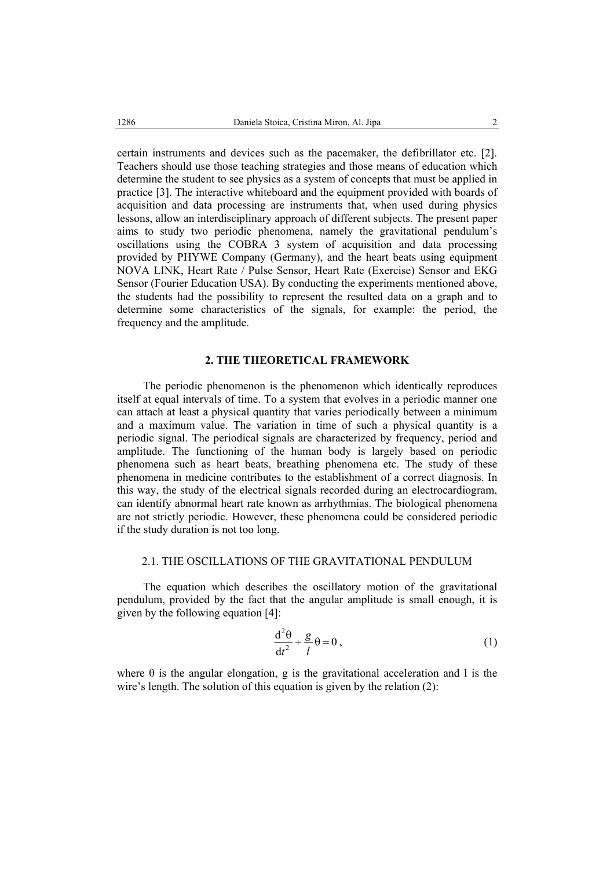certain instruments and devices such as the pacemaker, the defibrillator etc. [2]. Teachers should use those teaching strategies and those means of education which determine the student to see physics as a system of concepts that must be applied in practice [3]. The interactive whiteboard and the equipment provided with boards of acquisition and data processing are instruments that, when used during physics lessons, allow an interdisciplinary approach of different subjects. The present paper aims to study two periodic phenomena, namely the gravitational pendulum's oscillations using the COBRA 3 system of acquisition and data processing provided by PHYWE Company (Germany), and the heart beats using equipment NOVA LINK, Heart Rate / Pulse Sensor, Heart Rate (Exercise) Sensor and EKG Sensor (Fourier Education USA). By conducting the experiments mentioned above, the students had the possibility to represent the resulted data on a graph and to determine some characteristics of the signals, for example: the period, the frequency and the amplitude.

# **2. THE THEORETICAL FRAMEWORK**

The periodic phenomenon is the phenomenon which identically reproduces itself at equal intervals of time. To a system that evolves in a periodic manner one can attach at least a physical quantity that varies periodically between a minimum and a maximum value. The variation in time of such a physical quantity is a periodic signal. The periodical signals are characterized by frequency, period and amplitude. The functioning of the human body is largely based on periodic phenomena such as heart beats, breathing phenomena etc. The study of these phenomena in medicine contributes to the establishment of a correct diagnosis. In this way, the study of the electrical signals recorded during an electrocardiogram, can identify abnormal heart rate known as arrhythmias. The biological phenomena are not strictly periodic. However, these phenomena could be considered periodic if the study duration is not too long.

# 2.1. THE OSCILLATIONS OF THE GRAVITATIONAL PENDULUM

The equation which describes the oscillatory motion of the gravitational pendulum, provided by the fact that the angular amplitude is small enough, it is given by the following equation [4]:

$$
\frac{d^2\theta}{dt^2} + \frac{g}{l}\theta = 0\,,\tag{1}
$$

where  $\theta$  is the angular elongation, g is the gravitational acceleration and l is the wire's length. The solution of this equation is given by the relation (2):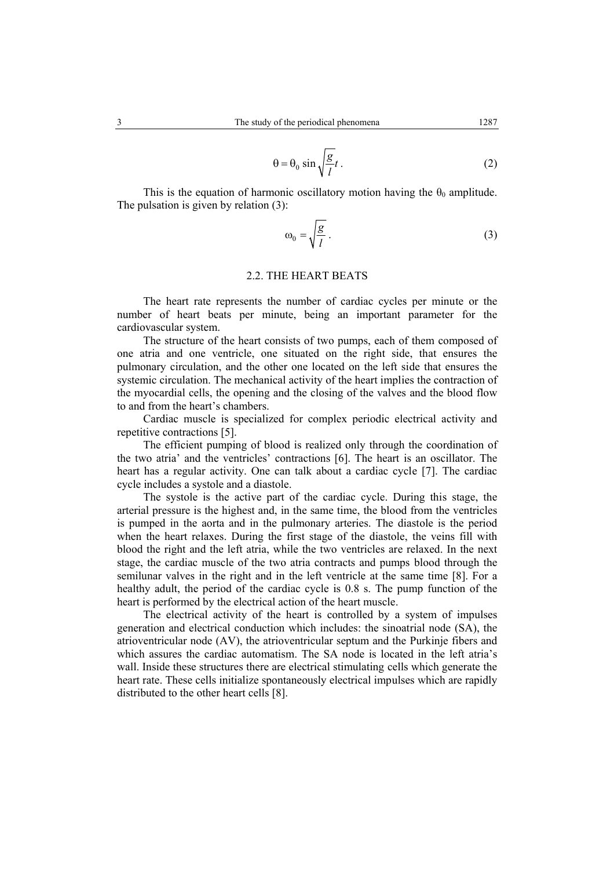$$
\theta = \theta_0 \sin \sqrt{\frac{g}{l}} t \,. \tag{2}
$$

This is the equation of harmonic oscillatory motion having the  $\theta_0$  amplitude. The pulsation is given by relation (3):

$$
\omega_0 = \sqrt{\frac{g}{l}} \,. \tag{3}
$$

# 2.2. THE HEART BEATS

The heart rate represents the number of cardiac cycles per minute or the number of heart beats per minute, being an important parameter for the cardiovascular system.

The structure of the heart consists of two pumps, each of them composed of one atria and one ventricle, one situated on the right side, that ensures the pulmonary circulation, and the other one located on the left side that ensures the systemic circulation. The mechanical activity of the heart implies the contraction of the myocardial cells, the opening and the closing of the valves and the blood flow to and from the heart's chambers.

Cardiac muscle is specialized for complex periodic electrical activity and repetitive contractions [5].

The efficient pumping of blood is realized only through the coordination of the two atria' and the ventricles' contractions [6]. The heart is an oscillator. The heart has a regular activity. One can talk about a cardiac cycle [7]. The cardiac cycle includes a systole and a diastole.

The systole is the active part of the cardiac cycle. During this stage, the arterial pressure is the highest and, in the same time, the blood from the ventricles is pumped in the aorta and in the pulmonary arteries. The diastole is the period when the heart relaxes. During the first stage of the diastole, the veins fill with blood the right and the left atria, while the two ventricles are relaxed. In the next stage, the cardiac muscle of the two atria contracts and pumps blood through the semilunar valves in the right and in the left ventricle at the same time [8]. For a healthy adult, the period of the cardiac cycle is 0.8 s. The pump function of the heart is performed by the electrical action of the heart muscle.

The electrical activity of the heart is controlled by a system of impulses generation and electrical conduction which includes: the sinoatrial node (SA), the atrioventricular node (AV), the atrioventricular septum and the Purkinje fibers and which assures the cardiac automatism. The SA node is located in the left atria's wall. Inside these structures there are electrical stimulating cells which generate the heart rate. These cells initialize spontaneously electrical impulses which are rapidly distributed to the other heart cells [8].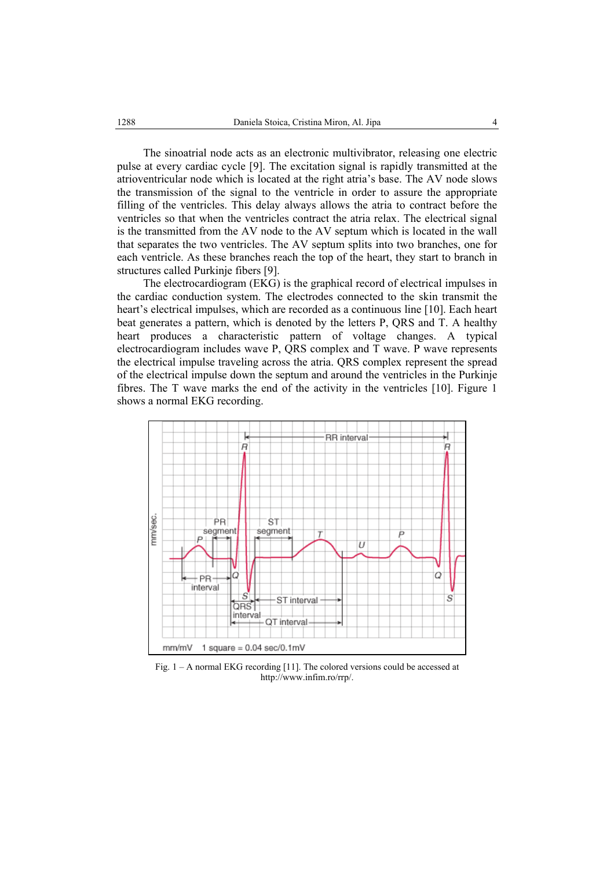The sinoatrial node acts as an electronic multivibrator, releasing one electric pulse at every cardiac cycle [9]. The excitation signal is rapidly transmitted at the atrioventricular node which is located at the right atria's base. The AV node slows the transmission of the signal to the ventricle in order to assure the appropriate filling of the ventricles. This delay always allows the atria to contract before the ventricles so that when the ventricles contract the atria relax. The electrical signal is the transmitted from the AV node to the AV septum which is located in the wall that separates the two ventricles. The AV septum splits into two branches, one for each ventricle. As these branches reach the top of the heart, they start to branch in structures called Purkinje fibers [9].

The electrocardiogram (EKG) is the graphical record of electrical impulses in the cardiac conduction system. The electrodes connected to the skin transmit the heart's electrical impulses, which are recorded as a continuous line [10]. Each heart beat generates a pattern, which is denoted by the letters P, QRS and T. A healthy heart produces a characteristic pattern of voltage changes. A typical electrocardiogram includes wave P, QRS complex and T wave. P wave represents the electrical impulse traveling across the atria. QRS complex represent the spread of the electrical impulse down the septum and around the ventricles in the Purkinje fibres. The T wave marks the end of the activity in the ventricles [10]. Figure 1 shows a normal EKG recording.



Fig. 1 – A normal EKG recording [11]. The colored versions could be accessed at http://www.infim.ro/rrp/.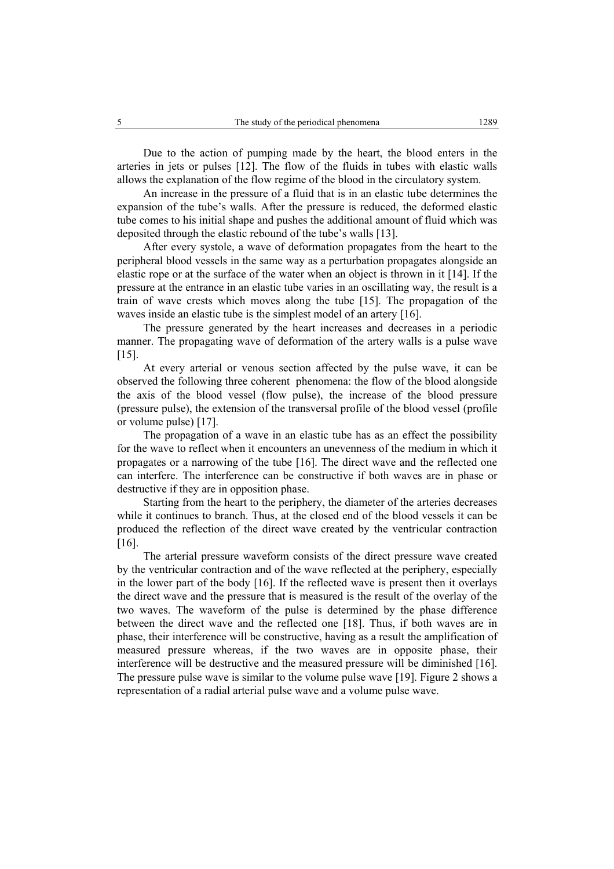Due to the action of pumping made by the heart, the blood enters in the arteries in jets or pulses [12]. The flow of the fluids in tubes with elastic walls allows the explanation of the flow regime of the blood in the circulatory system.

An increase in the pressure of a fluid that is in an elastic tube determines the expansion of the tube's walls. After the pressure is reduced, the deformed elastic tube comes to his initial shape and pushes the additional amount of fluid which was deposited through the elastic rebound of the tube's walls [13].

After every systole, a wave of deformation propagates from the heart to the peripheral blood vessels in the same way as a perturbation propagates alongside an elastic rope or at the surface of the water when an object is thrown in it [14]. If the pressure at the entrance in an elastic tube varies in an oscillating way, the result is a train of wave crests which moves along the tube [15]. The propagation of the waves inside an elastic tube is the simplest model of an artery [16].

The pressure generated by the heart increases and decreases in a periodic manner. The propagating wave of deformation of the artery walls is a pulse wave [15].

At every arterial or venous section affected by the pulse wave, it can be observed the following three coherent phenomena: the flow of the blood alongside the axis of the blood vessel (flow pulse), the increase of the blood pressure (pressure pulse), the extension of the transversal profile of the blood vessel (profile or volume pulse) [17].

The propagation of a wave in an elastic tube has as an effect the possibility for the wave to reflect when it encounters an unevenness of the medium in which it propagates or a narrowing of the tube [16]. The direct wave and the reflected one can interfere. The interference can be constructive if both waves are in phase or destructive if they are in opposition phase.

Starting from the heart to the periphery, the diameter of the arteries decreases while it continues to branch. Thus, at the closed end of the blood vessels it can be produced the reflection of the direct wave created by the ventricular contraction [16].

The arterial pressure waveform consists of the direct pressure wave created by the ventricular contraction and of the wave reflected at the periphery, especially in the lower part of the body [16]. If the reflected wave is present then it overlays the direct wave and the pressure that is measured is the result of the overlay of the two waves. The waveform of the pulse is determined by the phase difference between the direct wave and the reflected one [18]. Thus, if both waves are in phase, their interference will be constructive, having as a result the amplification of measured pressure whereas, if the two waves are in opposite phase, their interference will be destructive and the measured pressure will be diminished [16]. The pressure pulse wave is similar to the volume pulse wave [19]. Figure 2 shows a representation of a radial arterial pulse wave and a volume pulse wave.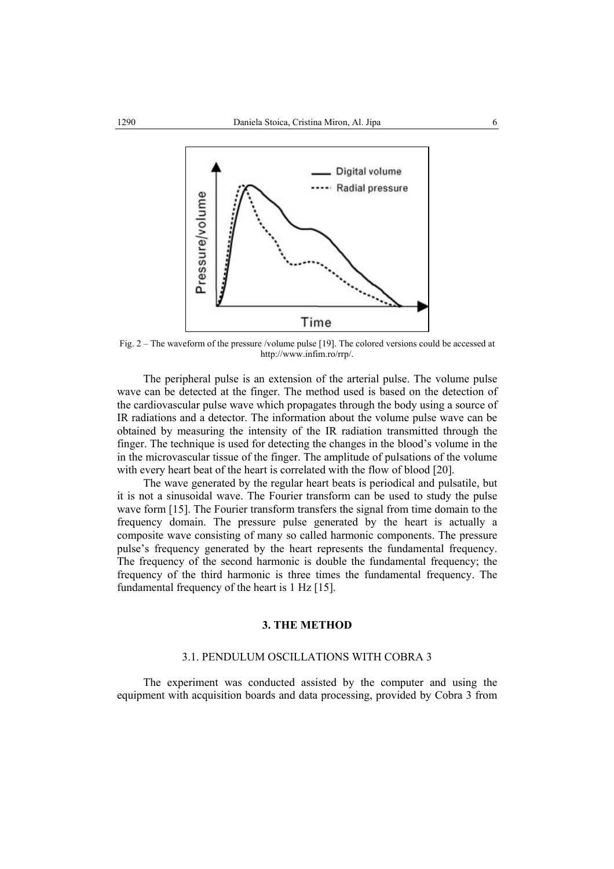

Fig. 2 – The waveform of the pressure /volume pulse [19]. The colored versions could be accessed at http://www.infim.ro/rrp/.

The peripheral pulse is an extension of the arterial pulse. The volume pulse wave can be detected at the finger. The method used is based on the detection of the cardiovascular pulse wave which propagates through the body using a source of IR radiations and a detector. The information about the volume pulse wave can be obtained by measuring the intensity of the IR radiation transmitted through the finger. The technique is used for detecting the changes in the blood's volume in the in the microvascular tissue of the finger. The amplitude of pulsations of the volume with every heart beat of the heart is correlated with the flow of blood [20].

The wave generated by the regular heart beats is periodical and pulsatile, but it is not a sinusoidal wave. The Fourier transform can be used to study the pulse wave form [15]. The Fourier transform transfers the signal from time domain to the frequency domain. The pressure pulse generated by the heart is actually a composite wave consisting of many so called harmonic components. The pressure pulse's frequency generated by the heart represents the fundamental frequency. The frequency of the second harmonic is double the fundamental frequency; the frequency of the third harmonic is three times the fundamental frequency. The fundamental frequency of the heart is 1 Hz [15].

## **3. THE METHOD**

#### 3.1. PENDULUM OSCILLATIONS WITH COBRA 3

The experiment was conducted assisted by the computer and using the equipment with acquisition boards and data processing, provided by Cobra 3 from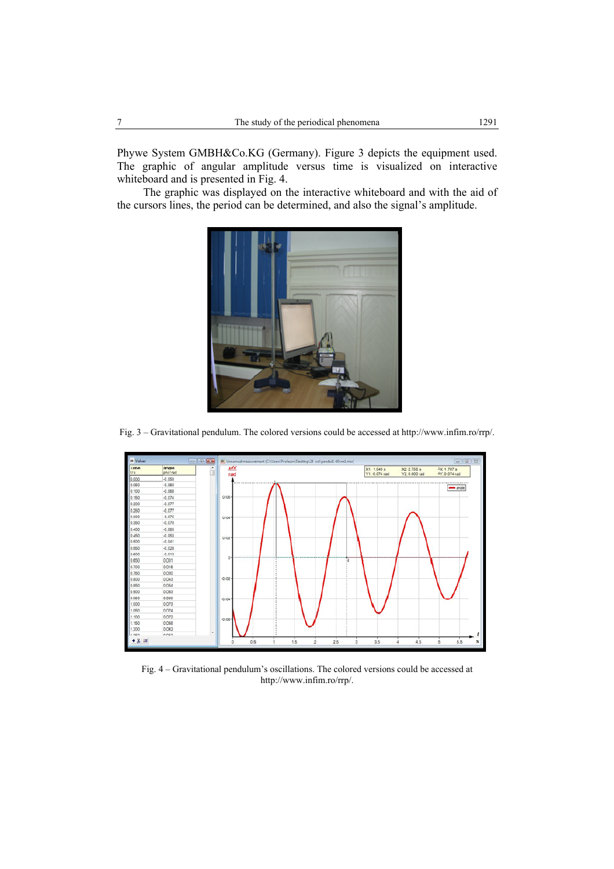Phywe System GMBH&Co.KG (Germany). Figure 3 depicts the equipment used. The graphic of angular amplitude versus time is visualized on interactive whiteboard and is presented in Fig. 4.

The graphic was displayed on the interactive whiteboard and with the aid of the cursors lines, the period can be determined, and also the signal's amplitude.



Fig. 3 – Gravitational pendulum. The colored versions could be accessed at http://www.infim.ro/rrp/.



Fig. 4 – Gravitational pendulum's oscillations. The colored versions could be accessed at http://www.infim.ro/rrp/.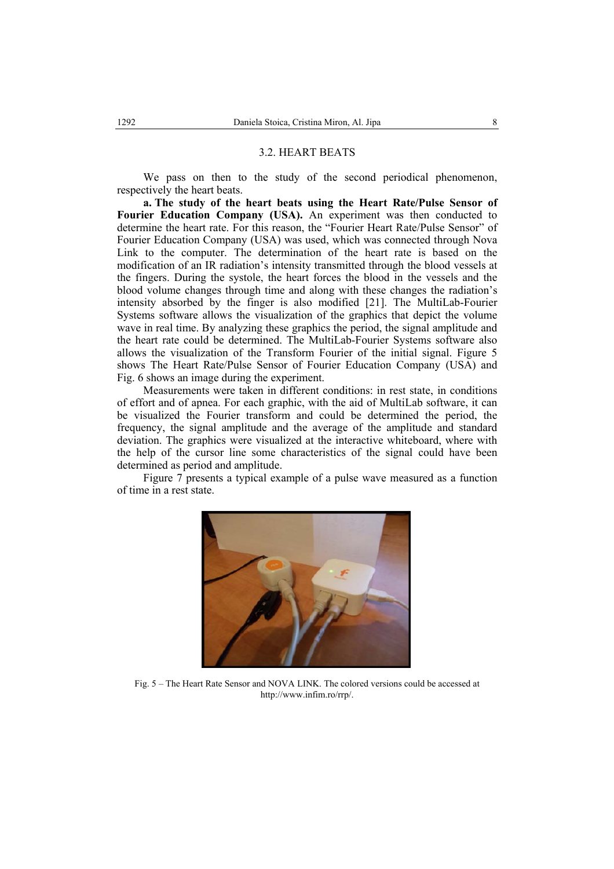#### 3.2. HEART BEATS

We pass on then to the study of the second periodical phenomenon, respectively the heart beats.

**a. The study of the heart beats using the Heart Rate/Pulse Sensor of Fourier Education Company (USA).** An experiment was then conducted to determine the heart rate. For this reason, the "Fourier Heart Rate/Pulse Sensor" of Fourier Education Company (USA) was used, which was connected through Nova Link to the computer. The determination of the heart rate is based on the modification of an IR radiation's intensity transmitted through the blood vessels at the fingers. During the systole, the heart forces the blood in the vessels and the blood volume changes through time and along with these changes the radiation's intensity absorbed by the finger is also modified [21]. The MultiLab-Fourier Systems software allows the visualization of the graphics that depict the volume wave in real time. By analyzing these graphics the period, the signal amplitude and the heart rate could be determined. The MultiLab-Fourier Systems software also allows the visualization of the Transform Fourier of the initial signal. Figure 5 shows The Heart Rate/Pulse Sensor of Fourier Education Company (USA) and Fig. 6 shows an image during the experiment.

Measurements were taken in different conditions: in rest state, in conditions of effort and of apnea. For each graphic, with the aid of MultiLab software, it can be visualized the Fourier transform and could be determined the period, the frequency, the signal amplitude and the average of the amplitude and standard deviation. The graphics were visualized at the interactive whiteboard, where with the help of the cursor line some characteristics of the signal could have been determined as period and amplitude.

Figure 7 presents a typical example of a pulse wave measured as a function of time in a rest state.



Fig. 5 – The Heart Rate Sensor and NOVA LINK. The colored versions could be accessed at http://www.infim.ro/rrp/.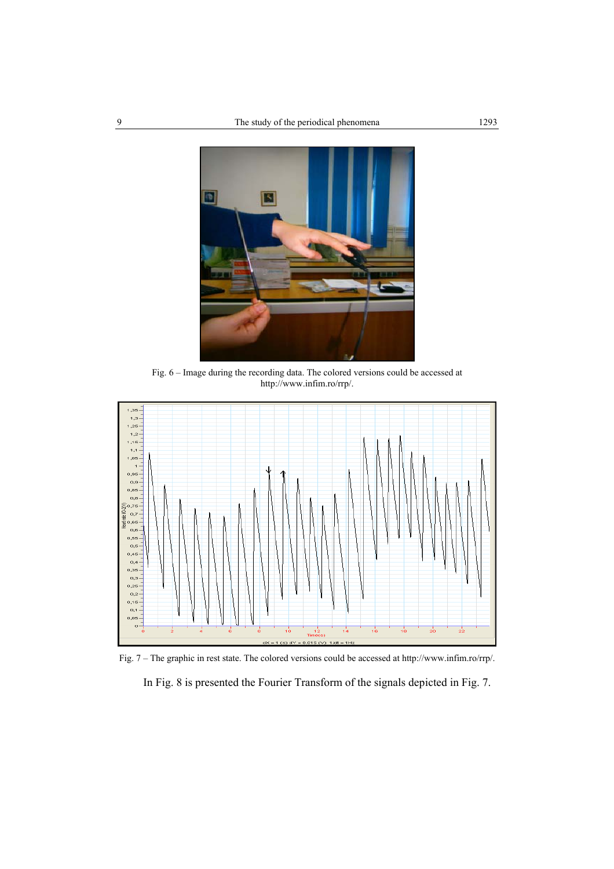

Fig. 6 – Image during the recording data. The colored versions could be accessed at http://www.infim.ro/rrp/.



Fig. 7 – The graphic in rest state. The colored versions could be accessed at http://www.infim.ro/rrp/.

In Fig. 8 is presented the Fourier Transform of the signals depicted in Fig. 7.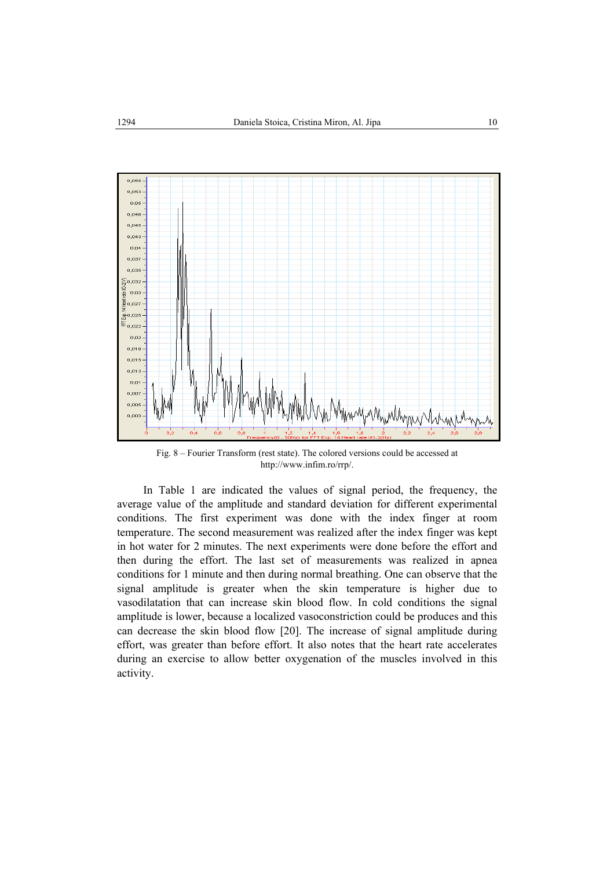

Fig. 8 – Fourier Transform (rest state). The colored versions could be accessed at http://www.infim.ro/rrp/.

In Table 1 are indicated the values of signal period, the frequency, the average value of the amplitude and standard deviation for different experimental conditions. The first experiment was done with the index finger at room temperature. The second measurement was realized after the index finger was kept in hot water for 2 minutes. The next experiments were done before the effort and then during the effort. The last set of measurements was realized in apnea conditions for 1 minute and then during normal breathing. One can observe that the signal amplitude is greater when the skin temperature is higher due to vasodilatation that can increase skin blood flow. In cold conditions the signal amplitude is lower, because a localized vasoconstriction could be produces and this can decrease the skin blood flow [20]. The increase of signal amplitude during effort, was greater than before effort. It also notes that the heart rate accelerates during an exercise to allow better oxygenation of the muscles involved in this activity.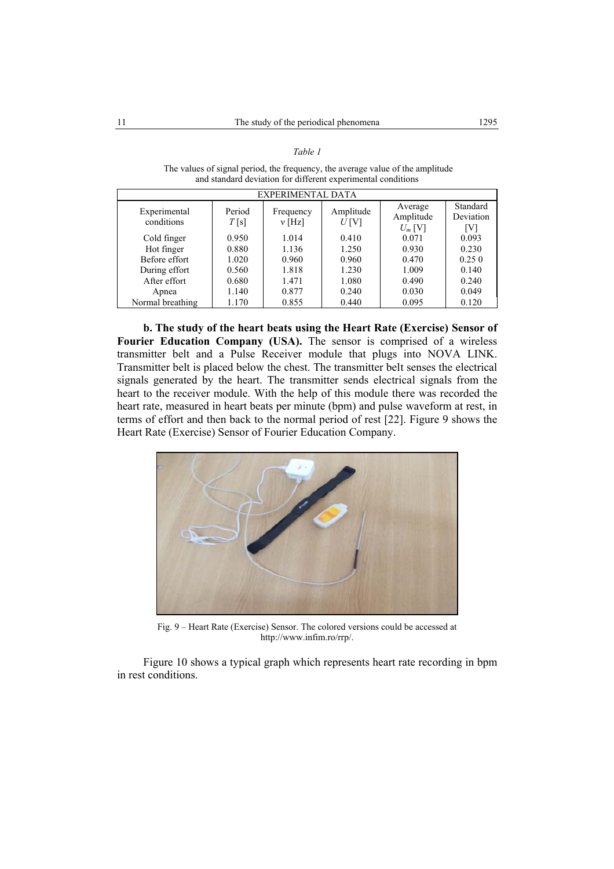| EXPERIMENTAL DATA          |                |                       |                   |                                   |                              |
|----------------------------|----------------|-----------------------|-------------------|-----------------------------------|------------------------------|
| Experimental<br>conditions | Period<br>T[s] | Frequency<br>$v$ [Hz] | Amplitude<br>U[V] | Average<br>Amplitude<br>$U_m$ [V] | Standard<br>Deviation<br>[V] |
| Cold finger                | 0.950          | 1.014                 | 0.410             | 0.071                             | 0.093                        |
| Hot finger                 | 0.880          | 1.136                 | 1.250             | 0.930                             | 0.230                        |
| Before effort              | 1.020          | 0.960                 | 0.960             | 0.470                             | 0.250                        |
| During effort              | 0.560          | 1.818                 | 1.230             | 1.009                             | 0.140                        |
| After effort               | 0.680          | 1.471                 | 1.080             | 0.490                             | 0.240                        |
| Apnea                      | 1.140          | 0.877                 | 0.240             | 0.030                             | 0.049                        |
| Normal breathing           | 1.170          | 0.855                 | 0.440             | 0.095                             | 0.120                        |

*Table 1*

 The values of signal period, the frequency, the average value of the amplitude and standard deviation for different experimental conditions

**b. The study of the heart beats using the Heart Rate (Exercise) Sensor of Fourier Education Company (USA).** The sensor is comprised of a wireless transmitter belt and a Pulse Receiver module that plugs into NOVA LINK. Transmitter belt is placed below the chest. The transmitter belt senses the electrical signals generated by the heart. The transmitter sends electrical signals from the heart to the receiver module. With the help of this module there was recorded the heart rate, measured in heart beats per minute (bpm) and pulse waveform at rest, in terms of effort and then back to the normal period of rest [22]. Figure 9 shows the Heart Rate (Exercise) Sensor of Fourier Education Company.



Fig. 9 – Heart Rate (Exercise) Sensor. The colored versions could be accessed at http://www.infim.ro/rrp/.

Figure 10 shows a typical graph which represents heart rate recording in bpm in rest conditions.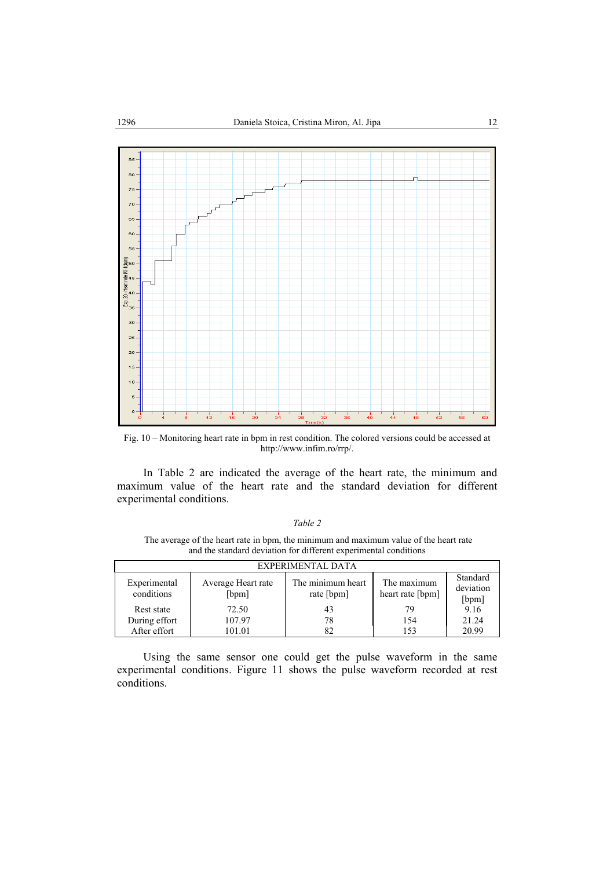

Fig. 10 – Monitoring heart rate in bpm in rest condition. The colored versions could be accessed at http://www.infim.ro/rrp/.

In Table 2 are indicated the average of the heart rate, the minimum and maximum value of the heart rate and the standard deviation for different experimental conditions.

| ۰, |  |
|----|--|
|----|--|

| The average of the heart rate in bpm, the minimum and maximum value of the heart rate |  |
|---------------------------------------------------------------------------------------|--|
| and the standard deviation for different experimental conditions                      |  |

| EXPERIMENTAL DATA          |                             |                                 |                                 |                                |  |  |
|----------------------------|-----------------------------|---------------------------------|---------------------------------|--------------------------------|--|--|
| Experimental<br>conditions | Average Heart rate<br>[bpm] | The minimum heart<br>rate [bpm] | The maximum<br>heart rate [bpm] | Standard<br>deviation<br>[bpm] |  |  |
| Rest state                 | 72.50                       | 43                              | 79                              | 9.16                           |  |  |
| During effort              | 107.97                      | 78                              | 154                             | 21.24                          |  |  |
| After effort               | 101.01                      | 82                              | 153                             | 20.99                          |  |  |

Using the same sensor one could get the pulse waveform in the same experimental conditions. Figure 11 shows the pulse waveform recorded at rest conditions.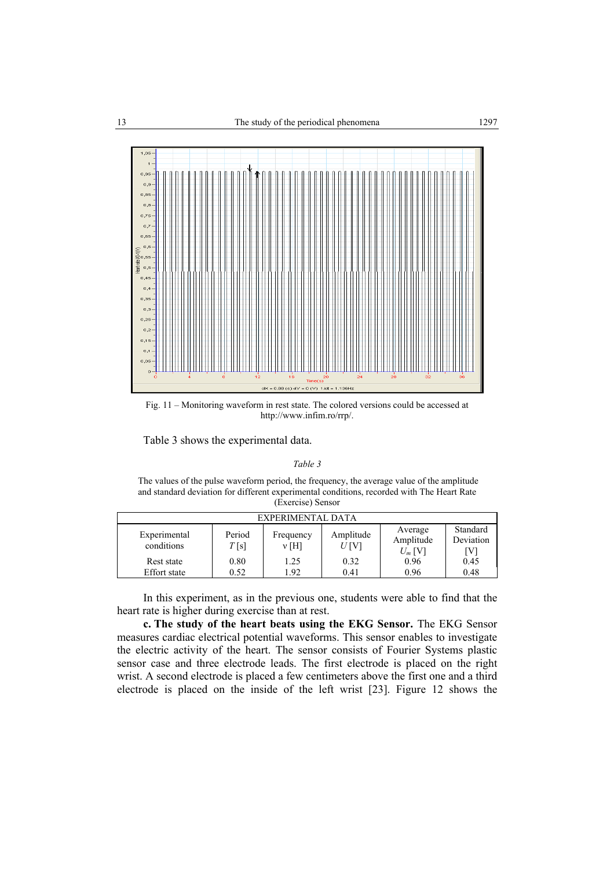

Fig. 11 – Monitoring waveform in rest state. The colored versions could be accessed at http://www.infim.ro/rrp/.

Table 3 shows the experimental data.

*Table 3*

 The values of the pulse waveform period, the frequency, the average value of the amplitude and standard deviation for different experimental conditions, recorded with The Heart Rate (Exercise) Sensor

| EXPERIMENTAL DATA          |                |                   |                      |                                   |                             |
|----------------------------|----------------|-------------------|----------------------|-----------------------------------|-----------------------------|
| Experimental<br>conditions | Period<br>T[s] | Frequency<br>v[H] | Amplitude<br>$U$ [V] | Average<br>Amplitude<br>$U_m$ [V] | Standard<br>Deviation<br>W] |
| Rest state                 | 0.80           | 1.25              | 0.32                 | 0.96                              | 0.45                        |
| <b>Effort</b> state        | 0.52           | L.92              | 0.41                 | 0.96                              | 0.48                        |

In this experiment, as in the previous one, students were able to find that the heart rate is higher during exercise than at rest.

**c. The study of the heart beats using the EKG Sensor.** The EKG Sensor measures cardiac electrical potential waveforms. This sensor enables to investigate the electric activity of the heart. The sensor consists of Fourier Systems plastic sensor case and three electrode leads. The first electrode is placed on the right wrist. A second electrode is placed a few centimeters above the first one and a third electrode is placed on the inside of the left wrist [23]. Figure 12 shows the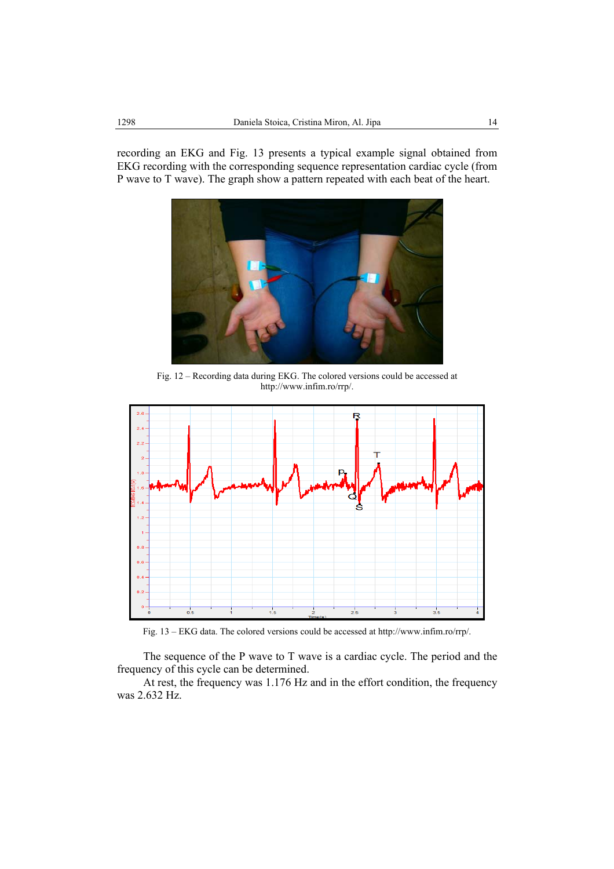recording an EKG and Fig. 13 presents a typical example signal obtained from EKG recording with the corresponding sequence representation cardiac cycle (from P wave to T wave). The graph show a pattern repeated with each beat of the heart.



Fig. 12 – Recording data during EKG. The colored versions could be accessed at http://www.infim.ro/rrp/.



Fig. 13 – EKG data. The colored versions could be accessed at http://www.infim.ro/rrp/.

The sequence of the P wave to T wave is a cardiac cycle. The period and the frequency of this cycle can be determined.

At rest, the frequency was 1.176 Hz and in the effort condition, the frequency was 2.632 Hz.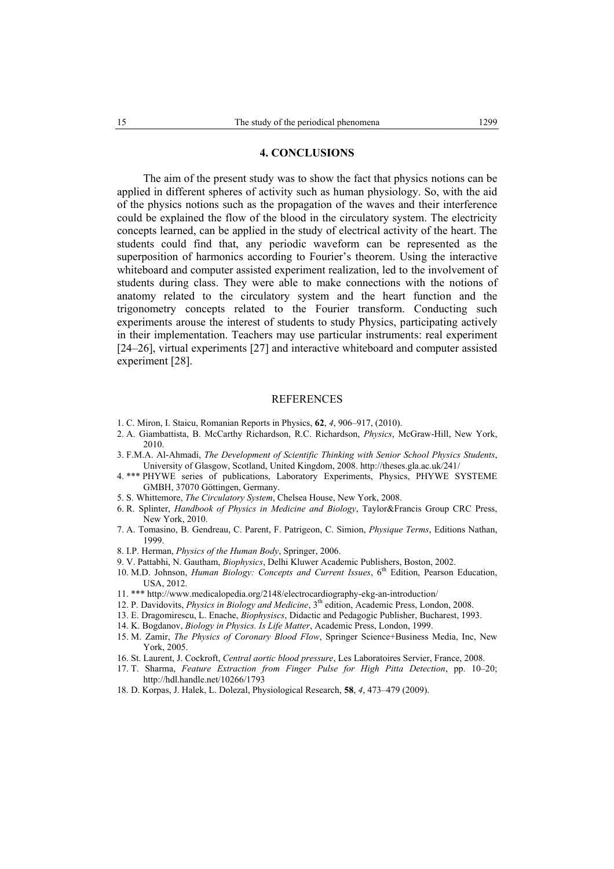## **4. CONCLUSIONS**

The aim of the present study was to show the fact that physics notions can be applied in different spheres of activity such as human physiology. So, with the aid of the physics notions such as the propagation of the waves and their interference could be explained the flow of the blood in the circulatory system. The electricity concepts learned, can be applied in the study of electrical activity of the heart. The students could find that, any periodic waveform can be represented as the superposition of harmonics according to Fourier's theorem. Using the interactive whiteboard and computer assisted experiment realization, led to the involvement of students during class. They were able to make connections with the notions of anatomy related to the circulatory system and the heart function and the trigonometry concepts related to the Fourier transform. Conducting such experiments arouse the interest of students to study Physics, participating actively in their implementation. Teachers may use particular instruments: real experiment [24–26], virtual experiments [27] and interactive whiteboard and computer assisted experiment [28].

#### REFERENCES

- 1. C. Miron, I. Staicu, Romanian Reports in Physics, **62**, *4*, 906–917, (2010).
- 2. A. Giambattista, B. McCarthy Richardson, R.C. Richardson, *Physics*, McGraw-Hill, New York, 2010.
- 3. F.M.A. Al-Ahmadi, *The Development of Scientific Thinking with Senior School Physics Students*, University of Glasgow, Scotland, United Kingdom, 2008. http://theses.gla.ac.uk/241/
- 4. \*\*\* PHYWE series of publications, Laboratory Experiments, Physics, PHYWE SYSTEME GMBH, 37070 Göttingen, Germany.
- 5. S. Whittemore, *The Circulatory System*, Chelsea House, New York, 2008.
- 6. R. Splinter, *Handbook of Physics in Medicine and Biology*, Taylor&Francis Group CRC Press, New York, 2010.
- 7. A. Tomasino, B. Gendreau, C. Parent, F. Patrigeon, C. Simion, *Physique Terms*, Editions Nathan, 1999.
- 8. I.P. Herman, *Physics of the Human Body*, Springer, 2006.
- 9. V. Pattabhi, N. Gautham, *Biophysics*, Delhi Kluwer Academic Publishers, Boston, 2002.
- 10. M.D. Johnson, *Human Biology: Concepts and Current Issues*, 6<sup>th</sup> Edition, Pearson Education, USA, 2012.
- 11. \*\*\* http://www.medicalopedia.org/2148/electrocardiography-ekg-an-introduction/
- 12. P. Davidovits, *Physics in Biology and Medicine*, 3th edition, Academic Press, London, 2008.
- 13. E. Dragomirescu, L. Enache, *Biophysiscs*, Didactic and Pedagogic Publisher, Bucharest, 1993.
- 14. K. Bogdanov, *Biology in Physics. Is Life Matter*, Academic Press, London, 1999.
- 15. M. Zamir, *The Physics of Coronary Blood Flow*, Springer Science+Business Media, Inc, New York, 2005.
- 16. St. Laurent, J. Cockroft, *Central aortic blood pressure*, Les Laboratoires Servier, France, 2008.
- 17. T. Sharma, *Feature Extraction from Finger Pulse for High Pitta Detection*, pp. 10–20; http://hdl.handle.net/10266/1793
- 18. D. Korpas, J. Halek, L. Dolezal, Physiological Research, **58**, *4*, 473–479 (2009).